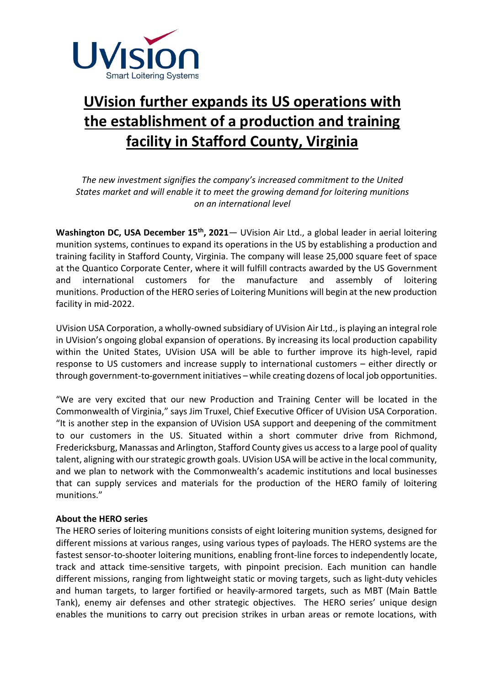

## **UVision further expands its US operations with the establishment of a production and training facility in Stafford County, Virginia**

*The new investment signifies the company's increased commitment to the United States market and will enable it to meet the growing demand for loitering munitions on an international level*

**Washington DC, USA December 15th, 2021**— UVision Air Ltd., a global leader in aerial loitering munition systems, continues to expand its operations in the US by establishing a production and training facility in Stafford County, Virginia. The company will lease 25,000 square feet of space at the Quantico Corporate Center, where it will fulfill contracts awarded by the US Government and international customers for the manufacture and assembly of loitering munitions. Production of the HERO series of Loitering Munitions will begin at the new production facility in mid-2022.

UVision USA Corporation, a wholly-owned subsidiary of UVision Air Ltd., is playing an integral role in UVision's ongoing global expansion of operations. By increasing its local production capability within the United States, UVision USA will be able to further improve its high-level, rapid response to US customers and increase supply to international customers – either directly or through government-to-government initiatives – while creating dozens of local job opportunities.

"We are very excited that our new Production and Training Center will be located in the Commonwealth of Virginia," says Jim Truxel, Chief Executive Officer of UVision USA Corporation. "It is another step in the expansion of UVision USA support and deepening of the commitment to our customers in the US. Situated within a short commuter drive from Richmond, Fredericksburg, Manassas and Arlington, Stafford County gives us access to a large pool of quality talent, aligning with our strategic growth goals. UVision USA will be active in the local community, and we plan to network with the Commonwealth's academic institutions and local businesses that can supply services and materials for the production of the HERO family of loitering munitions."

## **About the HERO series**

The HERO series of loitering munitions consists of eight loitering munition systems, designed for different missions at various ranges, using various types of payloads. The HERO systems are the fastest sensor-to-shooter loitering munitions, enabling front-line forces to independently locate, track and attack time-sensitive targets, with pinpoint precision. Each munition can handle different missions, ranging from lightweight static or moving targets, such as light-duty vehicles and human targets, to larger fortified or heavily-armored targets, such as MBT (Main Battle Tank), enemy air defenses and other strategic objectives. The HERO series' unique design enables the munitions to carry out precision strikes in urban areas or remote locations, with